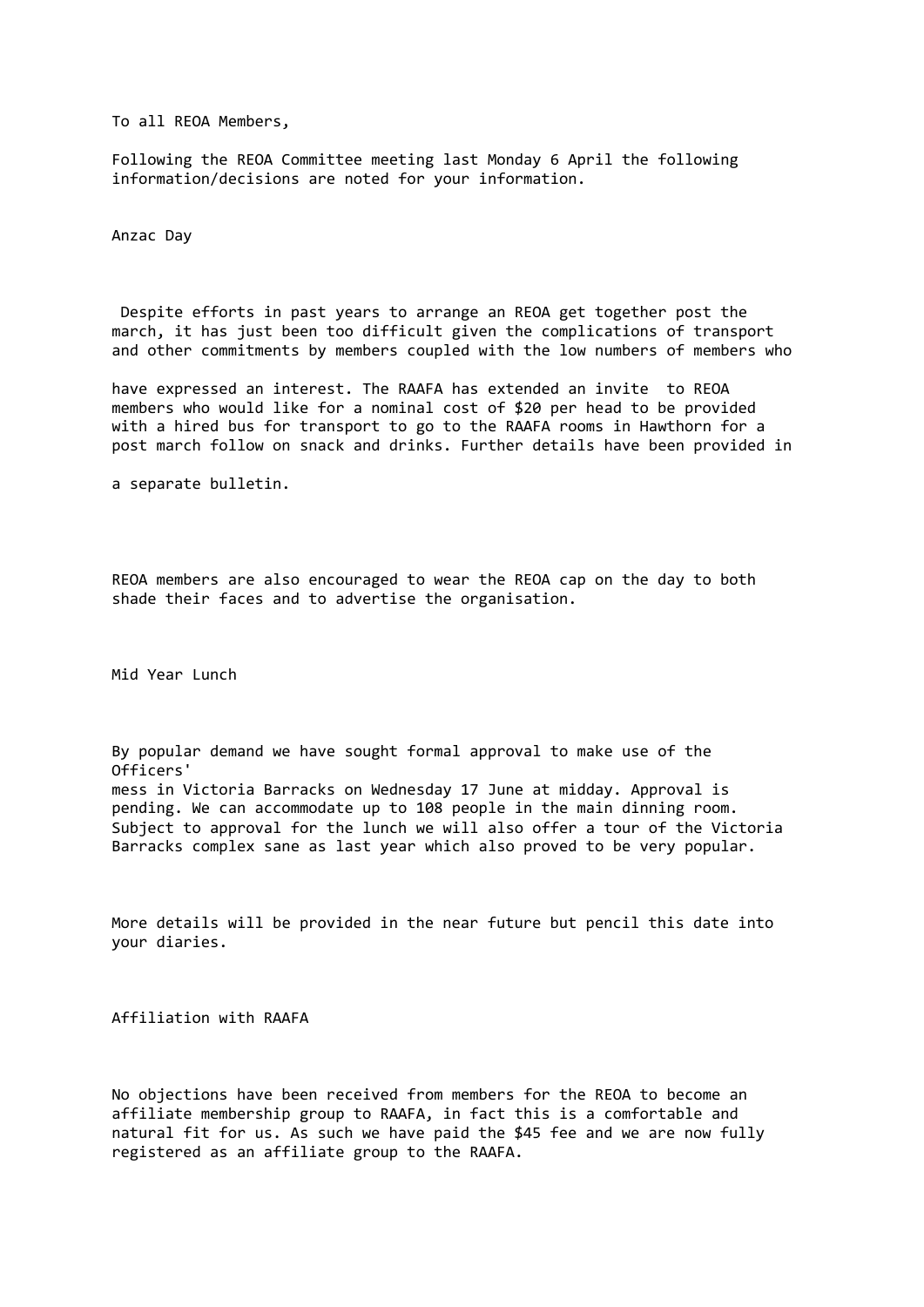To all REOA Members,

Following the REOA Committee meeting last Monday 6 April the following information/decisions are noted for your information.

Anzac Day

Despite efforts in past years to arrange an REOA get together post the march, it has just been too difficult given the complications of transport and other commitments by members coupled with the low numbers of members who

have expressed an interest. The RAAFA has extended an invite to REOA members who would like for a nominal cost of \$20 per head to be provided with a hired bus for transport to go to the RAAFA rooms in Hawthorn for a post march follow on snack and drinks. Further details have been provided in

a separate bulletin.

REOA members are also encouraged to wear the REOA cap on the day to both shade their faces and to advertise the organisation.

Mid Year Lunch

By popular demand we have sought formal approval to make use of the Officers' mess in Victoria Barracks on Wednesday 17 June at midday. Approval is pending. We can accommodate up to 108 people in the main dinning room. Subject to approval for the lunch we will also offer a tour of the Victoria Barracks complex sane as last year which also proved to be very popular.

More details will be provided in the near future but pencil this date into your diaries.

Affiliation with RAAFA

No objections have been received from members for the REOA to become an affiliate membership group to RAAFA, in fact this is a comfortable and natural fit for us. As such we have paid the \$45 fee and we are now fully registered as an affiliate group to the RAAFA.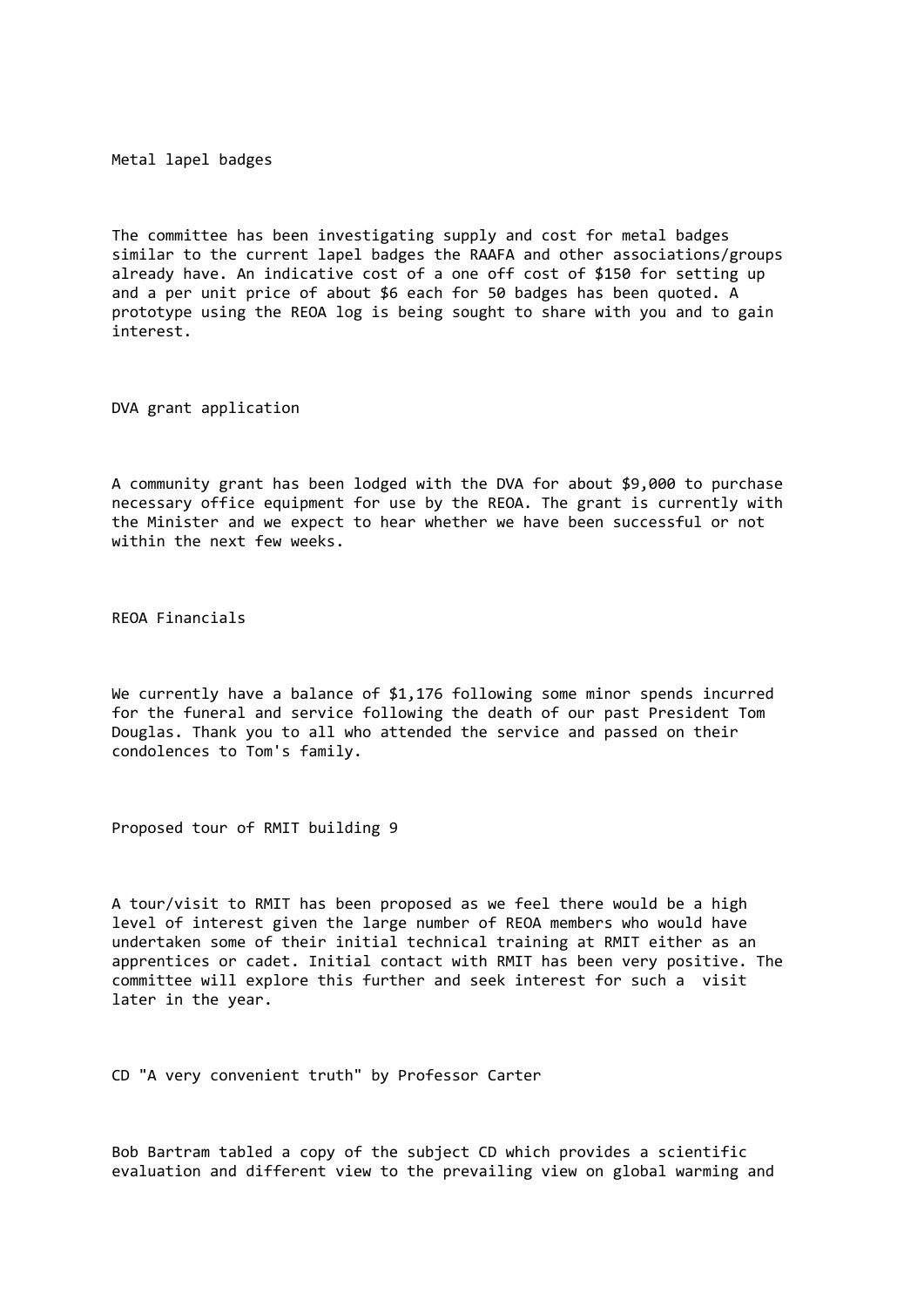Metal lapel badges

The committee has been investigating supply and cost for metal badges similar to the current lapel badges the RAAFA and other associations/groups already have. An indicative cost of a one off cost of \$150 for setting up and a per unit price of about \$6 each for 50 badges has been quoted. A prototype using the REOA log is being sought to share with you and to gain interest.

DVA grant application

A community grant has been lodged with the DVA for about \$9,000 to purchase necessary office equipment for use by the REOA. The grant is currently with the Minister and we expect to hear whether we have been successful or not within the next few weeks.

REOA Financials

We currently have a balance of \$1,176 following some minor spends incurred for the funeral and service following the death of our past President Tom Douglas. Thank you to all who attended the service and passed on their condolences to Tom's family.

Proposed tour of RMIT building 9

A tour/visit to RMIT has been proposed as we feel there would be a high level of interest given the large number of REOA members who would have undertaken some of their initial technical training at RMIT either as an apprentices or cadet. Initial contact with RMIT has been very positive. The committee will explore this further and seek interest for such a visit later in the year.

CD "A very convenient truth" by Professor Carter

Bob Bartram tabled a copy of the subject CD which provides a scientific evaluation and different view to the prevailing view on global warming and